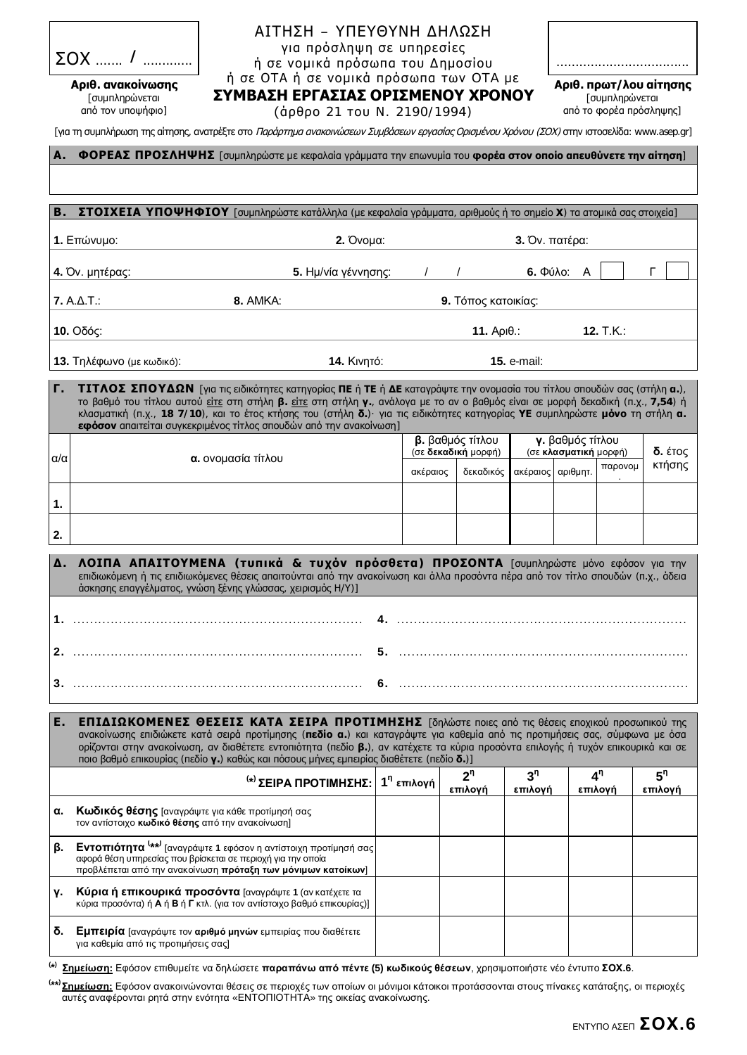| <b>SOX</b> | .        |
|------------|----------|
| $\cdots$   | $\cdots$ |

 $A$ ριθ. ανακοίνωσης [συμπληρώνεται aπό τον υποψήφιο]

## $AITH\Sigma H - YT EYOYNH \Delta HAS\Sigma H$ για πρόσληψη σε υπηρεσίες ή σε νομικά πρόσωπα του Δημοσίου ή σε ΟΤΑ ή σε νομικά πρόσωπα των ΟΤΑ με

...................................  $Ap$ ιθ. πρωτ/λου αίτησης

[συμπληρώνεται από το φορέα πρόσληψης]

**ΣΥΜΒΑΣΗ ΕΡΓΑΣΙΑΣ ΟΡΙΣΜΕΝΟΥ ΧΡΟΝΟΥ** (άρθρο 21 του Ν. 2190/1994)

[για τη συμπλήρωση της αίτησης, ανατρέξτε στο Παράρτημα ανακοινώσεων Συμβάσεων εργασίας Ορισμένου Χρόνου (ΣΟΧ) στην ιστοσελίδα: www.asep.gr]

| A.                                                                                                                                                                                                                                                                                                                                                                                                                                                                    | <b>ΦΟΡΕΑΣ ΠΡΟΣΛΗΨΗΣ</b> [συμπληρώστε με κεφαλαία γράμματα την επωνυμία του φορέα στον οποίο απευθύνετε την αίτηση]                                                                                                                                                                      |                           |          |                                         |                           |                                           |         |                           |
|-----------------------------------------------------------------------------------------------------------------------------------------------------------------------------------------------------------------------------------------------------------------------------------------------------------------------------------------------------------------------------------------------------------------------------------------------------------------------|-----------------------------------------------------------------------------------------------------------------------------------------------------------------------------------------------------------------------------------------------------------------------------------------|---------------------------|----------|-----------------------------------------|---------------------------|-------------------------------------------|---------|---------------------------|
| В.                                                                                                                                                                                                                                                                                                                                                                                                                                                                    | ΣΤΟΙΧΕΙΑ ΥΠΟΨΗΦΙΟΥ [συμπληρώστε κατάλληλα (με κεφαλαία γράμματα, αριθμούς ή το σημείο Χ) τα ατομικά σας στοιχεία]                                                                                                                                                                       |                           |          |                                         |                           |                                           |         |                           |
| 1. Επώνυμο:<br>2. Ovoua:                                                                                                                                                                                                                                                                                                                                                                                                                                              |                                                                                                                                                                                                                                                                                         |                           |          | 3. Όν. πατέρα:                          |                           |                                           |         |                           |
| 4. Όν. μητέρας:<br>5. Ημ/νία γέννησης:                                                                                                                                                                                                                                                                                                                                                                                                                                |                                                                                                                                                                                                                                                                                         |                           |          |                                         |                           | 6. Φύλο: Α                                |         | г                         |
| 7. A.A.T.:<br>8. AMKA:                                                                                                                                                                                                                                                                                                                                                                                                                                                |                                                                                                                                                                                                                                                                                         | 9. Τόπος κατοικίας:       |          |                                         |                           |                                           |         |                           |
| 10. Οδός:                                                                                                                                                                                                                                                                                                                                                                                                                                                             |                                                                                                                                                                                                                                                                                         | 12. T.K.:<br>11. $ApI.$ : |          |                                         |                           |                                           |         |                           |
|                                                                                                                                                                                                                                                                                                                                                                                                                                                                       | 13. Τηλέφωνο (με κωδικό):<br><b>14. Κινητό:</b>                                                                                                                                                                                                                                         | <b>15. e-mail:</b>        |          |                                         |                           |                                           |         |                           |
| Г.<br>ΤΙΤΛΟΣ ΣΠΟΥΔΩΝ [για τις ειδικότητες κατηγορίας ΠΕ ή ΤΕ ή ΔΕ καταγράψτε την ονομασία του τίτλου σπουδών σας (στήλη α.),<br>το βαθμό του τίτλου αυτού είτε στη στήλη β. είτε στη στήλη γ., ανάλογα με το αν ο βαθμός είναι σε μορφή δεκαδική (π.χ., 7,54) ή<br>κλασματική (π.χ., 18 7/10), και το έτος κτήσης του (στήλη δ.) για τις ειδικότητες κατηγορίας ΥΕ συμπληρώστε μόνο τη στήλη α.<br>εφόσον απαιτείται συγκεκριμένος τίτλος σπουδών από την ανακοίνωση] |                                                                                                                                                                                                                                                                                         |                           |          |                                         |                           |                                           |         |                           |
| $\alpha/\alpha$                                                                                                                                                                                                                                                                                                                                                                                                                                                       | α. ονομασία τίτλου                                                                                                                                                                                                                                                                      |                           |          | β. βαθμός τίτλου<br>(σε δεκαδική μορφή) |                           | γ. βαθμός τίτλου<br>(σε κλασματική μορφή) |         | δ. έτος                   |
|                                                                                                                                                                                                                                                                                                                                                                                                                                                                       |                                                                                                                                                                                                                                                                                         |                           | ακέραιος | δεκαδικός                               | ακέραιος αριθμητ.         |                                           | παρονομ | κτήσης                    |
| 1.                                                                                                                                                                                                                                                                                                                                                                                                                                                                    |                                                                                                                                                                                                                                                                                         |                           |          |                                         |                           |                                           |         |                           |
| 2.                                                                                                                                                                                                                                                                                                                                                                                                                                                                    |                                                                                                                                                                                                                                                                                         |                           |          |                                         |                           |                                           |         |                           |
| Δ.                                                                                                                                                                                                                                                                                                                                                                                                                                                                    | ΛΟΙΠΑ ΑΠΑΙΤΟΥΜΕΝΑ (τυπικά & τυχόν πρόσθετα) ΠΡΟΣΟΝΤΑ [συμπληρώστε μόνο εφόσον για την<br>επιδιωκόμενη ή τις επιδιωκόμενες θέσεις απαιτούνται από την ανακοίνωση και άλλα προσόντα πέρα από τον τίτλο σπουδών (π.χ., άδεια<br>άσκησης επαγγέλματος, γνώση ξένης γλώσσας, χειρισμός Η/Υ)] |                           |          |                                         |                           |                                           |         |                           |
|                                                                                                                                                                                                                                                                                                                                                                                                                                                                       |                                                                                                                                                                                                                                                                                         |                           |          |                                         |                           |                                           |         |                           |
|                                                                                                                                                                                                                                                                                                                                                                                                                                                                       |                                                                                                                                                                                                                                                                                         |                           |          |                                         |                           |                                           |         |                           |
|                                                                                                                                                                                                                                                                                                                                                                                                                                                                       |                                                                                                                                                                                                                                                                                         |                           |          |                                         |                           |                                           |         |                           |
| Ε.<br>ΕΠΙΔΙΩΚΟΜΕΝΕΣ ΘΕΣΕΙΣ ΚΑΤΑ ΣΕΙΡΑ ΠΡΟΤΙΜΗΣΗΣ [δηλώστε ποιες από τις θέσεις εποχικού προσωπικού της<br>ανακοίνωσης επιδιώκετε κατά σειρά προτίμησης (πεδίο α.) και καταγράψτε για καθεμία από τις προτιμήσεις σας, σύμφωνα με όσα<br>ορίζονται στην ανακοίνωση, αν διαθέτετε εντοπιότητα (πεδίο β.), αν κατέχετε τα κύρια προσόντα επιλογής ή τυχόν επικουρικά και σε<br>ποιο βαθμό επικουρίας (πεδίο γ.) καθώς και πόσους μήνες εμπειρίας διαθέτετε (πεδίο δ.)]   |                                                                                                                                                                                                                                                                                         |                           |          |                                         |                           |                                           |         |                           |
|                                                                                                                                                                                                                                                                                                                                                                                                                                                                       | <sup>(*)</sup> ΣΕΙΡΑ ΠΡΟΤΙΜΗΣΗΣ: 1 <sup>η</sup> επιλονή                                                                                                                                                                                                                                 |                           |          | 2 <sup>n</sup><br>επιλογή               | 3 <sup>n</sup><br>επιλογή | 4 <sup>n</sup><br>επιλογή                 |         | 5 <sup>n</sup><br>επιλογή |
| α.                                                                                                                                                                                                                                                                                                                                                                                                                                                                    | Κωδικός θέσης [αναγράψτε για κάθε προτίμησή σας<br>τον αντίστοιχο κωδικό θέσης από την ανακοίνωση]                                                                                                                                                                                      |                           |          |                                         |                           |                                           |         |                           |
| β.                                                                                                                                                                                                                                                                                                                                                                                                                                                                    | <b>Εντοπιότητα</b> <sup>(**)</sup> [αναγράψτε 1 εφόσον η αντίστοιχη προτίμησή σας<br>αφορά θέση υπηρεσίας που βρίσκεται σε περιοχή για την οποία<br>προβλέπεται από την ανακοίνωση πρόταξη των μόνιμων κατοίκων]                                                                        |                           |          |                                         |                           |                                           |         |                           |
| γ.                                                                                                                                                                                                                                                                                                                                                                                                                                                                    | Κύρια ή επικουρικά προσόντα [αναγράψτε 1 (αν κατέχετε τα<br>κύρια προσόντα) ή Α ή Β ή Γ κτλ. (για τον αντίστοιχο βαθμό επικουρίας)]                                                                                                                                                     |                           |          |                                         |                           |                                           |         |                           |
| δ.                                                                                                                                                                                                                                                                                                                                                                                                                                                                    | Εμπειρία [αναγράψτε τον αριθμό μηνών εμπειρίας που διαθέτετε<br>για καθεμία από τις προτιμήσεις σας)                                                                                                                                                                                    |                           |          |                                         |                           |                                           |         |                           |
| (*)                                                                                                                                                                                                                                                                                                                                                                                                                                                                   | Σημείωση: Εφόσον επιθυμείτε να δηλώσετε παραπάνω από πέντε (5) κωδικούς θέσεων, χρησιμοποιήστε νέο έντυπο ΣΟΧ.6.                                                                                                                                                                        |                           |          |                                         |                           |                                           |         |                           |

(\*\*) <mark>Σημείωσ<u>η:</u> Εφόσον ανακοινώνονται θέσεις σε περιοχές των οποίων οι μόνιμοι κάτοικοι προτάσσονται στους πίνακες κατάταξης, οι περιοχές</mark> αυτές αναφέρονται ρητά στην ενότητα «ΕΝΤΟΠΙΟΤΗΤΑ» της οικείας ανακοίνωσης.